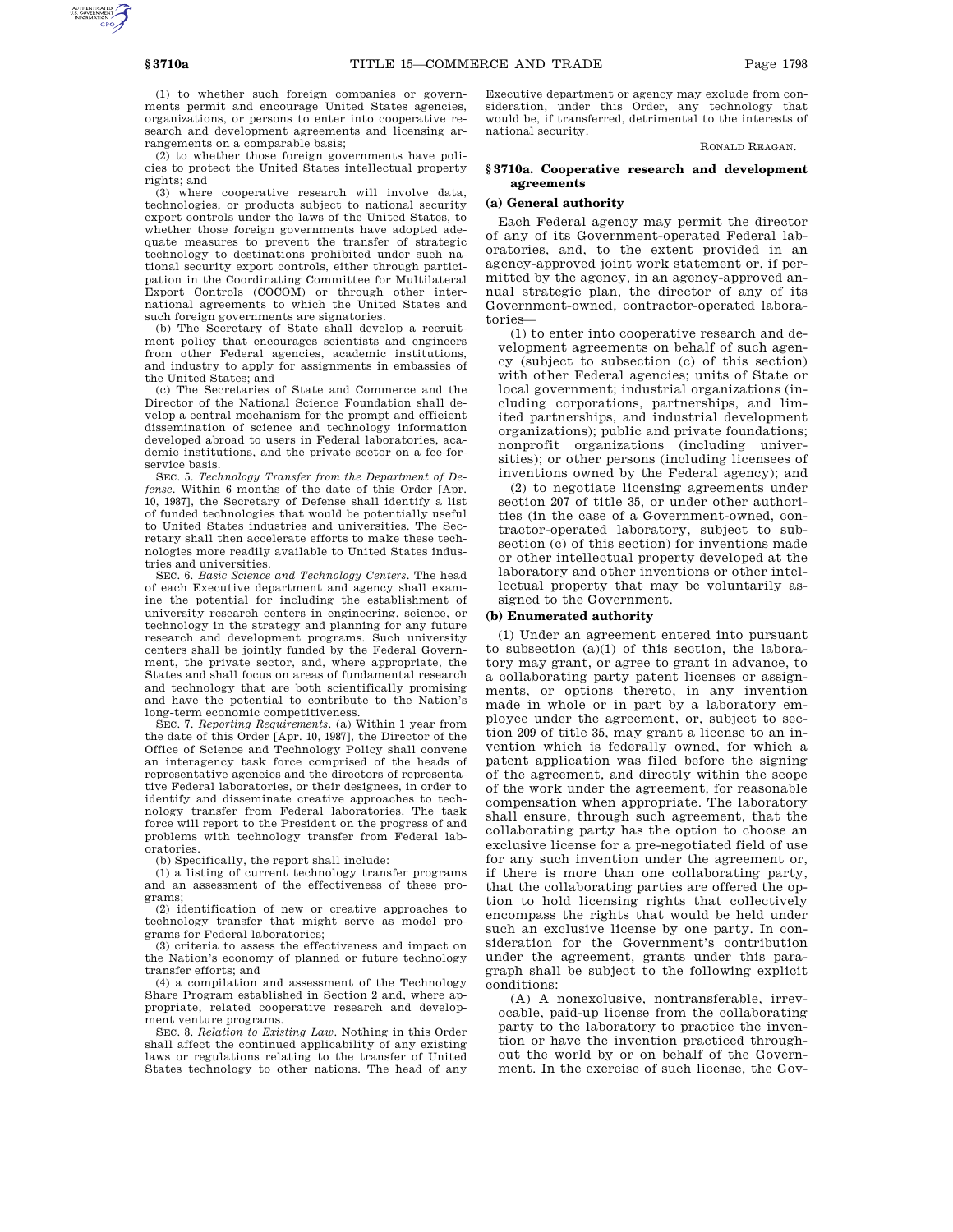(1) to whether such foreign companies or governments permit and encourage United States agencies, organizations, or persons to enter into cooperative research and development agreements and licensing arrangements on a comparable basis;

(2) to whether those foreign governments have policies to protect the United States intellectual property rights; and

(3) where cooperative research will involve data, technologies, or products subject to national security export controls under the laws of the United States, to whether those foreign governments have adopted adequate measures to prevent the transfer of strategic technology to destinations prohibited under such national security export controls, either through participation in the Coordinating Committee for Multilateral Export Controls (COCOM) or through other international agreements to which the United States and such foreign governments are signatories.

(b) The Secretary of State shall develop a recruitment policy that encourages scientists and engineers from other Federal agencies, academic institutions, and industry to apply for assignments in embassies of the United States; and

(c) The Secretaries of State and Commerce and the Director of the National Science Foundation shall develop a central mechanism for the prompt and efficient dissemination of science and technology information developed abroad to users in Federal laboratories, academic institutions, and the private sector on a fee-forservice basis.

SEC. 5. *Technology Transfer from the Department of Defense*. Within 6 months of the date of this Order [Apr. 10, 1987], the Secretary of Defense shall identify a list of funded technologies that would be potentially useful to United States industries and universities. The Secretary shall then accelerate efforts to make these technologies more readily available to United States industries and universities.

SEC. 6. *Basic Science and Technology Centers*. The head of each Executive department and agency shall examine the potential for including the establishment of university research centers in engineering, science, or technology in the strategy and planning for any future research and development programs. Such university centers shall be jointly funded by the Federal Government, the private sector, and, where appropriate, the States and shall focus on areas of fundamental research and technology that are both scientifically promising and have the potential to contribute to the Nation's long-term economic competitiveness.

SEC. 7. *Reporting Requirements*. (a) Within 1 year from the date of this Order [Apr. 10, 1987], the Director of the Office of Science and Technology Policy shall convene an interagency task force comprised of the heads of representative agencies and the directors of representative Federal laboratories, or their designees, in order to identify and disseminate creative approaches to technology transfer from Federal laboratories. The task force will report to the President on the progress of and problems with technology transfer from Federal laboratories.

(b) Specifically, the report shall include:

(1) a listing of current technology transfer programs and an assessment of the effectiveness of these programs;

(2) identification of new or creative approaches to technology transfer that might serve as model programs for Federal laboratories;

(3) criteria to assess the effectiveness and impact on the Nation's economy of planned or future technology transfer efforts; and

(4) a compilation and assessment of the Technology Share Program established in Section 2 and, where appropriate, related cooperative research and development venture programs.

SEC. 8. *Relation to Existing Law*. Nothing in this Order shall affect the continued applicability of any existing laws or regulations relating to the transfer of United States technology to other nations. The head of any Executive department or agency may exclude from consideration, under this Order, any technology that would be, if transferred, detrimental to the interests of national security.

RONALD REAGAN.

# **§ 3710a. Cooperative research and development agreements**

# **(a) General authority**

Each Federal agency may permit the director of any of its Government-operated Federal laboratories, and, to the extent provided in an agency-approved joint work statement or, if permitted by the agency, in an agency-approved annual strategic plan, the director of any of its Government-owned, contractor-operated laboratories—

(1) to enter into cooperative research and development agreements on behalf of such agency (subject to subsection (c) of this section) with other Federal agencies; units of State or local government; industrial organizations (including corporations, partnerships, and limited partnerships, and industrial development organizations); public and private foundations; nonprofit organizations (including universities); or other persons (including licensees of inventions owned by the Federal agency); and

(2) to negotiate licensing agreements under section 207 of title 35, or under other authorities (in the case of a Government-owned, contractor-operated laboratory, subject to subsection (c) of this section) for inventions made or other intellectual property developed at the laboratory and other inventions or other intellectual property that may be voluntarily assigned to the Government.

# **(b) Enumerated authority**

(1) Under an agreement entered into pursuant to subsection  $(a)(1)$  of this section, the laboratory may grant, or agree to grant in advance, to a collaborating party patent licenses or assignments, or options thereto, in any invention made in whole or in part by a laboratory employee under the agreement, or, subject to section 209 of title 35, may grant a license to an invention which is federally owned, for which a patent application was filed before the signing of the agreement, and directly within the scope of the work under the agreement, for reasonable compensation when appropriate. The laboratory shall ensure, through such agreement, that the collaborating party has the option to choose an exclusive license for a pre-negotiated field of use for any such invention under the agreement or, if there is more than one collaborating party, that the collaborating parties are offered the option to hold licensing rights that collectively encompass the rights that would be held under such an exclusive license by one party. In consideration for the Government's contribution under the agreement, grants under this paragraph shall be subject to the following explicit conditions:

(A) A nonexclusive, nontransferable, irrevocable, paid-up license from the collaborating party to the laboratory to practice the invention or have the invention practiced throughout the world by or on behalf of the Government. In the exercise of such license, the Gov-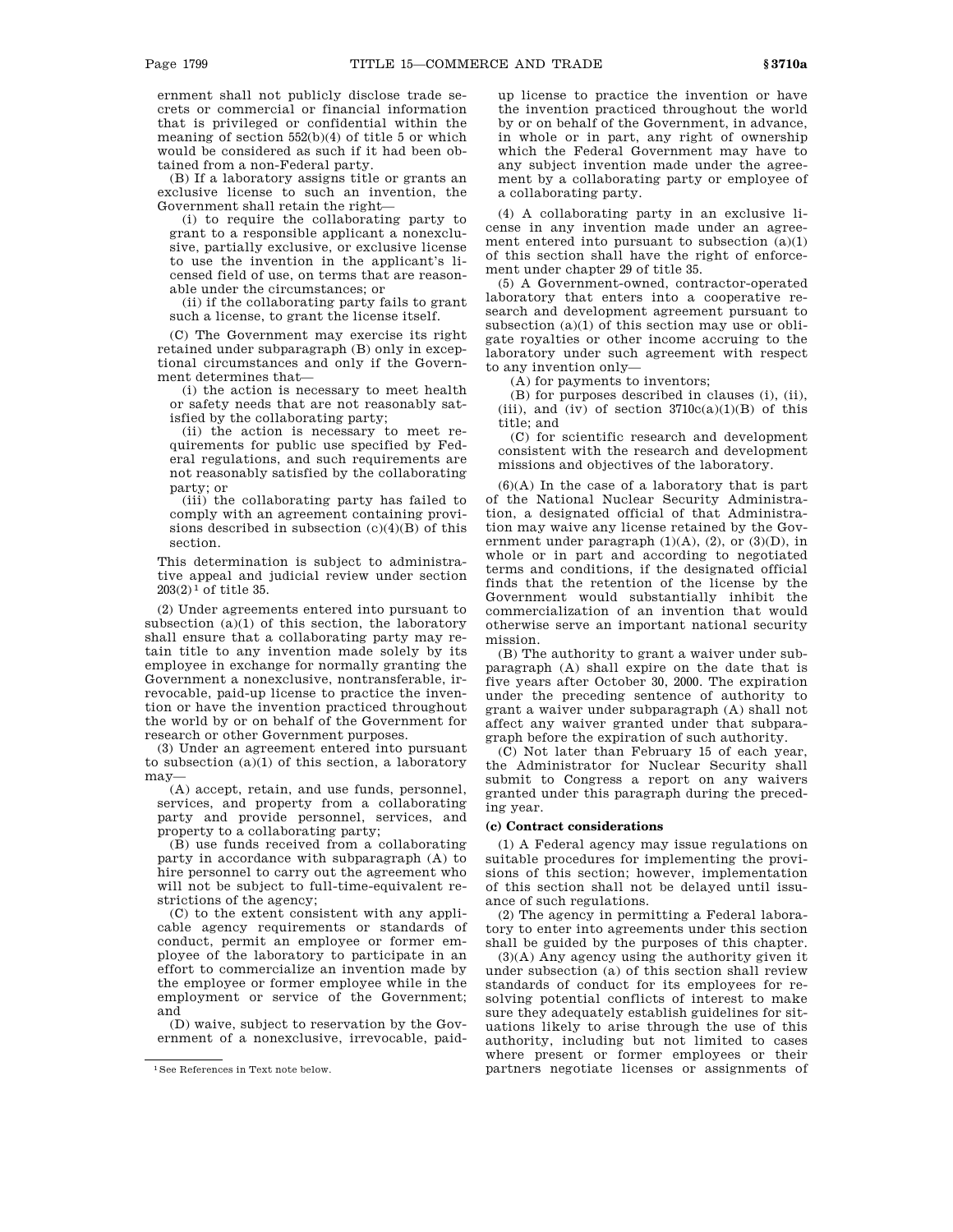ernment shall not publicly disclose trade secrets or commercial or financial information that is privileged or confidential within the meaning of section 552(b)(4) of title 5 or which would be considered as such if it had been obtained from a non-Federal party.

(B) If a laboratory assigns title or grants an exclusive license to such an invention, the Government shall retain the right—

(i) to require the collaborating party to grant to a responsible applicant a nonexclusive, partially exclusive, or exclusive license to use the invention in the applicant's licensed field of use, on terms that are reasonable under the circumstances; or

(ii) if the collaborating party fails to grant such a license, to grant the license itself.

(C) The Government may exercise its right retained under subparagraph (B) only in exceptional circumstances and only if the Government determines that—

(i) the action is necessary to meet health or safety needs that are not reasonably satisfied by the collaborating party;

(ii) the action is necessary to meet requirements for public use specified by Federal regulations, and such requirements are not reasonably satisfied by the collaborating party; or

(iii) the collaborating party has failed to comply with an agreement containing provisions described in subsection (c)(4)(B) of this section.

This determination is subject to administrative appeal and judicial review under section  $203(2)^1$  of title 35.

(2) Under agreements entered into pursuant to subsection (a)(1) of this section, the laboratory shall ensure that a collaborating party may retain title to any invention made solely by its employee in exchange for normally granting the Government a nonexclusive, nontransferable, irrevocable, paid-up license to practice the invention or have the invention practiced throughout the world by or on behalf of the Government for research or other Government purposes.

(3) Under an agreement entered into pursuant to subsection  $(a)(1)$  of this section, a laboratory may—

(A) accept, retain, and use funds, personnel, services, and property from a collaborating party and provide personnel, services, and property to a collaborating party;

(B) use funds received from a collaborating party in accordance with subparagraph (A) to hire personnel to carry out the agreement who will not be subject to full-time-equivalent restrictions of the agency;

(C) to the extent consistent with any applicable agency requirements or standards of conduct, permit an employee or former employee of the laboratory to participate in an effort to commercialize an invention made by the employee or former employee while in the employment or service of the Government; and

(D) waive, subject to reservation by the Government of a nonexclusive, irrevocable, paid-

up license to practice the invention or have the invention practiced throughout the world by or on behalf of the Government, in advance, in whole or in part, any right of ownership which the Federal Government may have to any subject invention made under the agreement by a collaborating party or employee of a collaborating party.

(4) A collaborating party in an exclusive license in any invention made under an agreement entered into pursuant to subsection (a)(1) of this section shall have the right of enforcement under chapter 29 of title 35.

(5) A Government-owned, contractor-operated laboratory that enters into a cooperative research and development agreement pursuant to subsection (a)(1) of this section may use or obligate royalties or other income accruing to the laboratory under such agreement with respect to any invention only—

(A) for payments to inventors;

(B) for purposes described in clauses (i), (ii), (iii), and (iv) of section  $3710c(a)(1)(B)$  of this title; and

(C) for scientific research and development consistent with the research and development missions and objectives of the laboratory.

 $(6)(A)$  In the case of a laboratory that is part of the National Nuclear Security Administration, a designated official of that Administration may waive any license retained by the Government under paragraph  $(1)(A)$ ,  $(2)$ , or  $(3)(D)$ , in whole or in part and according to negotiated terms and conditions, if the designated official finds that the retention of the license by the Government would substantially inhibit the commercialization of an invention that would otherwise serve an important national security mission.

(B) The authority to grant a waiver under subparagraph (A) shall expire on the date that is five years after October 30, 2000. The expiration under the preceding sentence of authority to grant a waiver under subparagraph (A) shall not affect any waiver granted under that subparagraph before the expiration of such authority.

(C) Not later than February 15 of each year, the Administrator for Nuclear Security shall submit to Congress a report on any waivers granted under this paragraph during the preceding year.

# **(c) Contract considerations**

(1) A Federal agency may issue regulations on suitable procedures for implementing the provisions of this section; however, implementation of this section shall not be delayed until issuance of such regulations.

(2) The agency in permitting a Federal laboratory to enter into agreements under this section shall be guided by the purposes of this chapter.

(3)(A) Any agency using the authority given it under subsection (a) of this section shall review standards of conduct for its employees for resolving potential conflicts of interest to make sure they adequately establish guidelines for situations likely to arise through the use of this authority, including but not limited to cases where present or former employees or their partners negotiate licenses or assignments of

<sup>1</sup>See References in Text note below.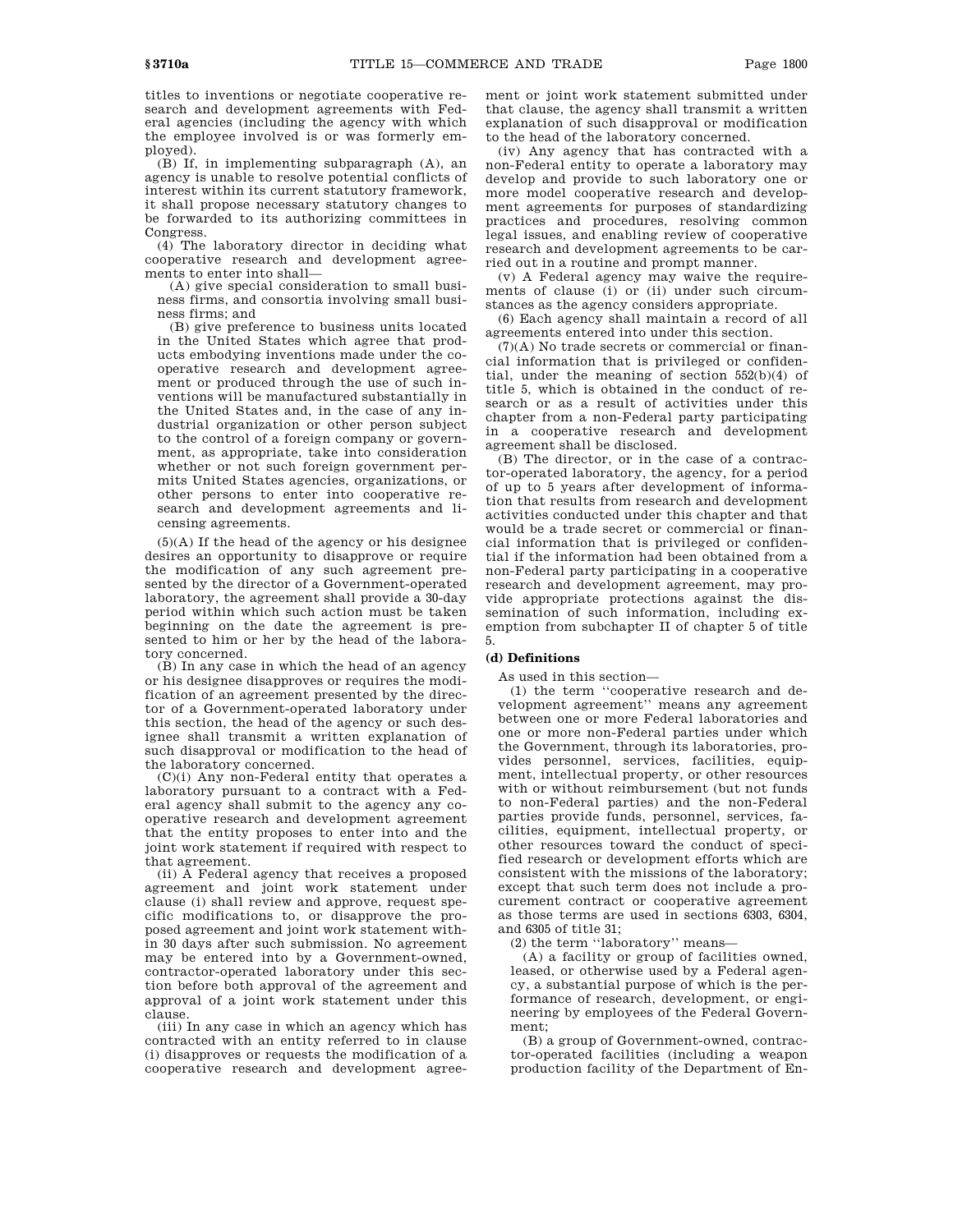titles to inventions or negotiate cooperative research and development agreements with Federal agencies (including the agency with which the employee involved is or was formerly employed).

 $(B)$  If, in implementing subparagraph  $(A)$ , an agency is unable to resolve potential conflicts of interest within its current statutory framework, it shall propose necessary statutory changes to be forwarded to its authorizing committees in Congress.

(4) The laboratory director in deciding what cooperative research and development agreements to enter into shall—

(A) give special consideration to small business firms, and consortia involving small business firms; and

(B) give preference to business units located in the United States which agree that products embodying inventions made under the cooperative research and development agreement or produced through the use of such inventions will be manufactured substantially in the United States and, in the case of any industrial organization or other person subject to the control of a foreign company or government, as appropriate, take into consideration whether or not such foreign government permits United States agencies, organizations, or other persons to enter into cooperative research and development agreements and licensing agreements.

 $(5)(A)$  If the head of the agency or his designee desires an opportunity to disapprove or require the modification of any such agreement presented by the director of a Government-operated laboratory, the agreement shall provide a 30-day period within which such action must be taken beginning on the date the agreement is presented to him or her by the head of the laboratory concerned.

 $(B)$  In any case in which the head of an agency or his designee disapproves or requires the modification of an agreement presented by the director of a Government-operated laboratory under this section, the head of the agency or such designee shall transmit a written explanation of such disapproval or modification to the head of the laboratory concerned.

(C)(i) Any non-Federal entity that operates a laboratory pursuant to a contract with a Federal agency shall submit to the agency any cooperative research and development agreement that the entity proposes to enter into and the joint work statement if required with respect to that agreement.

(ii) A Federal agency that receives a proposed agreement and joint work statement under clause (i) shall review and approve, request specific modifications to, or disapprove the proposed agreement and joint work statement within 30 days after such submission. No agreement may be entered into by a Government-owned, contractor-operated laboratory under this section before both approval of the agreement and approval of a joint work statement under this clause.

(iii) In any case in which an agency which has contracted with an entity referred to in clause (i) disapproves or requests the modification of a cooperative research and development agreement or joint work statement submitted under that clause, the agency shall transmit a written explanation of such disapproval or modification to the head of the laboratory concerned.

(iv) Any agency that has contracted with a non-Federal entity to operate a laboratory may develop and provide to such laboratory one or more model cooperative research and development agreements for purposes of standardizing practices and procedures, resolving common legal issues, and enabling review of cooperative research and development agreements to be carried out in a routine and prompt manner.

(v) A Federal agency may waive the requirements of clause (i) or (ii) under such circumstances as the agency considers appropriate.

(6) Each agency shall maintain a record of all agreements entered into under this section.

(7)(A) No trade secrets or commercial or financial information that is privileged or confidential, under the meaning of section 552(b)(4) of title 5, which is obtained in the conduct of research or as a result of activities under this chapter from a non-Federal party participating in a cooperative research and development agreement shall be disclosed.

(B) The director, or in the case of a contractor-operated laboratory, the agency, for a period of up to 5 years after development of information that results from research and development activities conducted under this chapter and that would be a trade secret or commercial or financial information that is privileged or confidential if the information had been obtained from a non-Federal party participating in a cooperative research and development agreement, may provide appropriate protections against the dissemination of such information, including exemption from subchapter II of chapter 5 of title 5.

# **(d) Definitions**

As used in this section—

(1) the term ''cooperative research and development agreement'' means any agreement between one or more Federal laboratories and one or more non-Federal parties under which the Government, through its laboratories, provides personnel, services, facilities, equipment, intellectual property, or other resources with or without reimbursement (but not funds to non-Federal parties) and the non-Federal parties provide funds, personnel, services, facilities, equipment, intellectual property, or other resources toward the conduct of specified research or development efforts which are consistent with the missions of the laboratory; except that such term does not include a procurement contract or cooperative agreement as those terms are used in sections 6303, 6304, and 6305 of title 31;

(2) the term ''laboratory'' means—

(A) a facility or group of facilities owned, leased, or otherwise used by a Federal agency, a substantial purpose of which is the performance of research, development, or engineering by employees of the Federal Government;

(B) a group of Government-owned, contractor-operated facilities (including a weapon production facility of the Department of En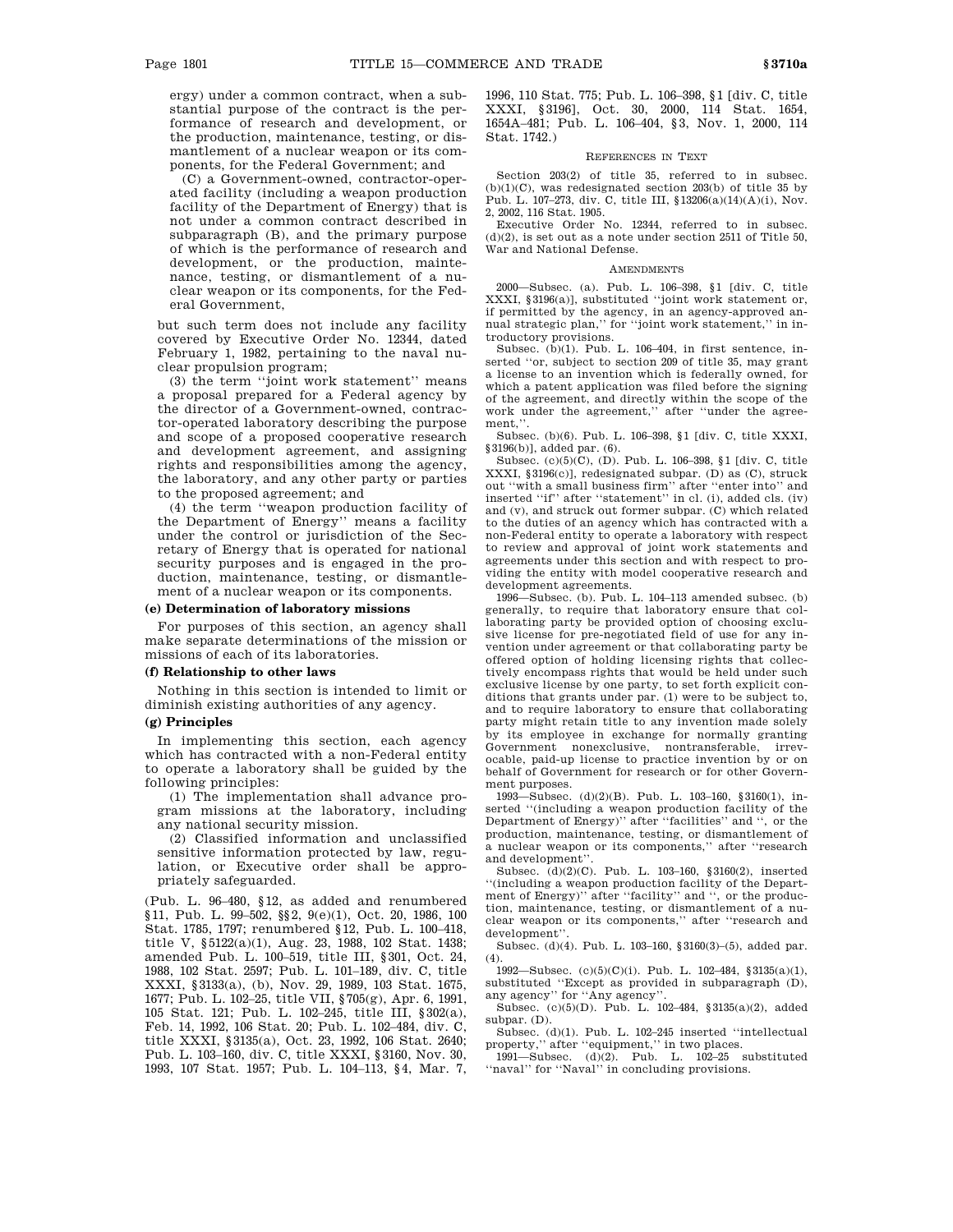ergy) under a common contract, when a substantial purpose of the contract is the performance of research and development, or the production, maintenance, testing, or dismantlement of a nuclear weapon or its components, for the Federal Government; and

(C) a Government-owned, contractor-operated facility (including a weapon production facility of the Department of Energy) that is not under a common contract described in subparagraph (B), and the primary purpose of which is the performance of research and development, or the production, maintenance, testing, or dismantlement of a nuclear weapon or its components, for the Federal Government,

but such term does not include any facility covered by Executive Order No. 12344, dated February 1, 1982, pertaining to the naval nuclear propulsion program;

(3) the term ''joint work statement'' means a proposal prepared for a Federal agency by the director of a Government-owned, contractor-operated laboratory describing the purpose and scope of a proposed cooperative research and development agreement, and assigning rights and responsibilities among the agency, the laboratory, and any other party or parties to the proposed agreement; and

(4) the term ''weapon production facility of the Department of Energy'' means a facility under the control or jurisdiction of the Secretary of Energy that is operated for national security purposes and is engaged in the production, maintenance, testing, or dismantlement of a nuclear weapon or its components.

# **(e) Determination of laboratory missions**

For purposes of this section, an agency shall make separate determinations of the mission or missions of each of its laboratories.

### **(f) Relationship to other laws**

Nothing in this section is intended to limit or diminish existing authorities of any agency.

### **(g) Principles**

In implementing this section, each agency which has contracted with a non-Federal entity to operate a laboratory shall be guided by the following principles:

(1) The implementation shall advance program missions at the laboratory, including any national security mission.

(2) Classified information and unclassified sensitive information protected by law, regulation, or Executive order shall be appropriately safeguarded.

(Pub. L. 96–480, §12, as added and renumbered §11, Pub. L. 99-502, §§2, 9(e)(1), Oct. 20, 1986, 100 Stat. 1785, 1797; renumbered §12, Pub. L. 100–418, title V, §5122(a)(1), Aug. 23, 1988, 102 Stat. 1438; amended Pub. L. 100–519, title III, §301, Oct. 24, 1988, 102 Stat. 2597; Pub. L. 101–189, div. C, title XXXI, §3133(a), (b), Nov. 29, 1989, 103 Stat. 1675, 1677; Pub. L. 102–25, title VII, §705(g), Apr. 6, 1991, 105 Stat. 121; Pub. L. 102–245, title III, §302(a), Feb. 14, 1992, 106 Stat. 20; Pub. L. 102–484, div. C, title XXXI, §3135(a), Oct. 23, 1992, 106 Stat. 2640; Pub. L. 103–160, div. C, title XXXI, §3160, Nov. 30, 1993, 107 Stat. 1957; Pub. L. 104–113, §4, Mar. 7, 1996, 110 Stat. 775; Pub. L. 106–398, §1 [div. C, title XXXI, §3196], Oct. 30, 2000, 114 Stat. 1654, 1654A–481; Pub. L. 106–404, §3, Nov. 1, 2000, 114 Stat. 1742.)

#### REFERENCES IN TEXT

Section 203(2) of title 35, referred to in subsec.  $(b)(1)(C)$ , was redesignated section 203 $(b)$  of title 35 by Pub. L. 107–273, div. C, title III, §13206(a)(14)(A)(i), Nov. 2, 2002, 116 Stat. 1905.

Executive Order No. 12344, referred to in subsec. (d)(2), is set out as a note under section 2511 of Title 50, War and National Defense.

#### **AMENDMENTS**

2000—Subsec. (a). Pub. L. 106–398, §1 [div. C, title XXXI, §3196(a)], substituted ''joint work statement or, if permitted by the agency, in an agency-approved annual strategic plan,'' for ''joint work statement,'' in introductory provisions.

Subsec.  $(b)(1)$ . Pub. L. 106-404, in first sentence, inserted ''or, subject to section 209 of title 35, may grant a license to an invention which is federally owned, for which a patent application was filed before the signing of the agreement, and directly within the scope of the work under the agreement,'' after ''under the agreement,''.

Subsec. (b)(6). Pub. L. 106–398, §1 [div. C, title XXXI, §3196(b)], added par. (6).

Subsec. (c)(5)(C), (D). Pub. L. 106–398, §1 [div. C, title XXXI, §3196(c)], redesignated subpar. (D) as (C), struck out ''with a small business firm'' after ''enter into'' and inserted ''if'' after ''statement'' in cl. (i), added cls. (iv) and (v), and struck out former subpar. (C) which related to the duties of an agency which has contracted with a non-Federal entity to operate a laboratory with respect to review and approval of joint work statements and agreements under this section and with respect to providing the entity with model cooperative research and development agreements.

1996—Subsec. (b). Pub. L. 104–113 amended subsec. (b) generally, to require that laboratory ensure that collaborating party be provided option of choosing exclusive license for pre-negotiated field of use for any invention under agreement or that collaborating party be offered option of holding licensing rights that collectively encompass rights that would be held under such exclusive license by one party, to set forth explicit conditions that grants under par. (1) were to be subject to, and to require laboratory to ensure that collaborating party might retain title to any invention made solely by its employee in exchange for normally granting Government nonexclusive, nontransferable, irrevocable, paid-up license to practice invention by or on behalf of Government for research or for other Government purposes.

1993—Subsec. (d)(2)(B). Pub. L. 103–160, §3160(1), inserted "(including a weapon production facility of the Department of Energy)" after "facilities" and ", or the Department of Energy)" after "facilities" and ' production, maintenance, testing, or dismantlement of a nuclear weapon or its components,'' after ''research and development''.

Subsec. (d)(2)(C). Pub. L. 103–160, §3160(2), inserted ''(including a weapon production facility of the Department of Energy)" after "facility" and ", or the production, maintenance, testing, or dismantlement of a nuclear weapon or its components,'' after ''research and development''.

Subsec. (d)(4). Pub. L. 103–160, §3160(3)–(5), added par.

(4). 1992—Subsec. (c)(5)(C)(i). Pub. L. 102–484, §3135(a)(1), substituted "Except as provided in subparagraph (D), any agency" for "Any agency".

Subsec. (c)(5)(D). Pub. L. 102–484, §3135(a)(2), added subpar. (D).

Subsec. (d)(1). Pub. L. 102–245 inserted ''intellectual

property,'' after ''equipment,'' in two places. 1991—Subsec. (d)(2). Pub. L. 102–25 substituted ''naval'' for ''Naval'' in concluding provisions.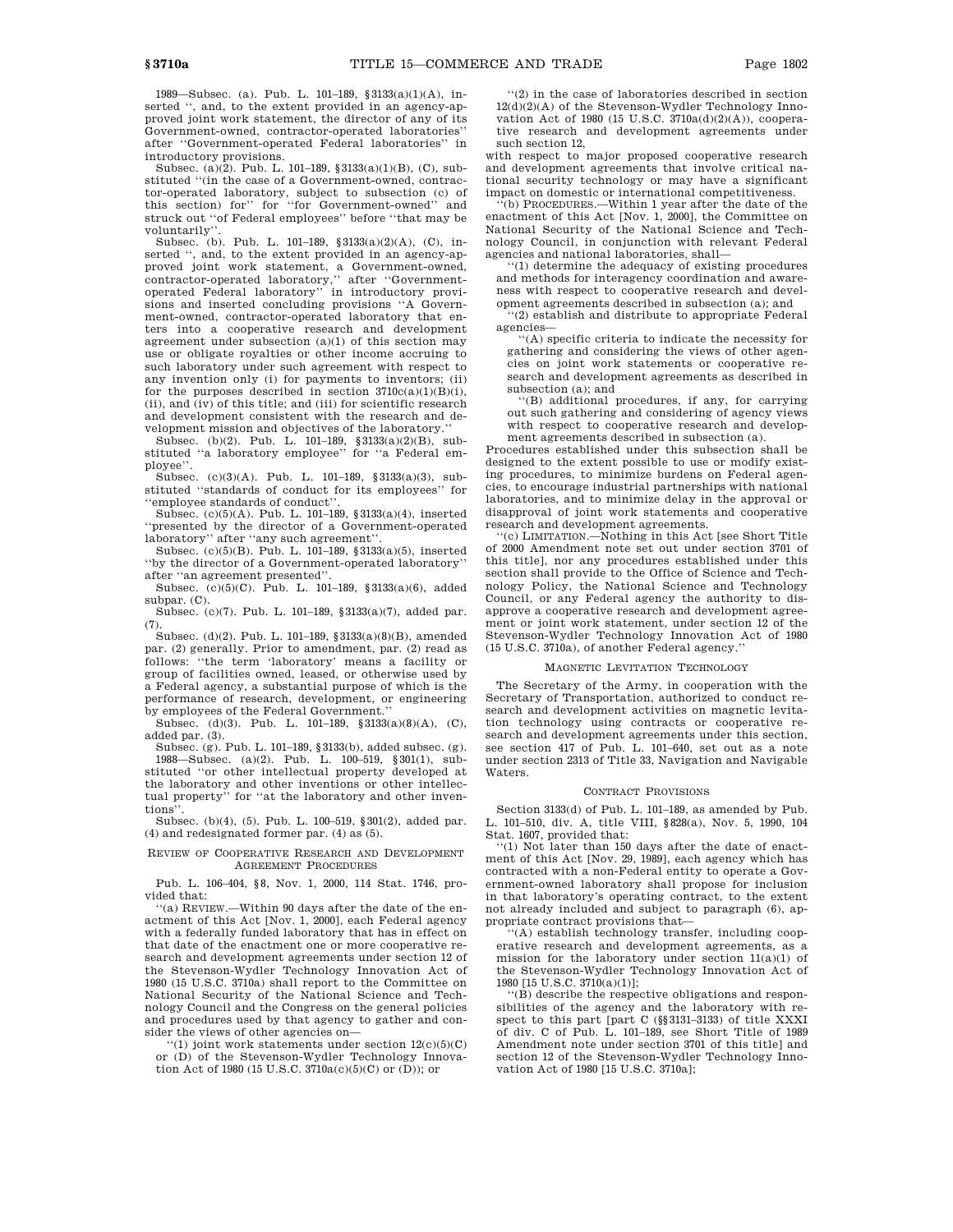1989—Subsec. (a). Pub. L. 101–189, §3133(a)(1)(A), inserted '', and, to the extent provided in an agency-approved joint work statement, the director of any of its Government-owned, contractor-operated laboratories'' after ''Government-operated Federal laboratories'' in introductory provisions.

Subsec. (a) $(2)$ . Pub. L. 101–189, §3133(a)(1)(B), (C), substituted ''(in the case of a Government-owned, contractor-operated laboratory, subject to subsection (c) of this section) for'' for ''for Government-owned'' and struck out ''of Federal employees'' before ''that may be voluntarily''.

Subsec. (b). Pub. L. 101–189, §3133(a)(2)(A), (C), inserted '', and, to the extent provided in an agency-approved joint work statement, a Government-owned, contractor-operated laboratory,'' after ''Governmentoperated Federal laboratory'' in introductory provisions and inserted concluding provisions ''A Government-owned, contractor-operated laboratory that enters into a cooperative research and development agreement under subsection  $(a)(1)$  of this section may use or obligate royalties or other income accruing to such laboratory under such agreement with respect to any invention only (i) for payments to inventors; (ii) for the purposes described in section  $3710c(a)(1)(B)(i)$ , (ii), and (iv) of this title; and (iii) for scientific research and development consistent with the research and development mission and objectives of the laboratory.''

Subsec. (b)(2). Pub. L. 101–189, §3133(a)(2)(B), substituted ''a laboratory employee'' for ''a Federal employee''.

Subsec. (c)(3)(A). Pub. L. 101–189, §3133(a)(3), substituted ''standards of conduct for its employees'' for ''employee standards of conduct''.

Subsec. (c)(5)(A). Pub. L. 101–189, §3133(a)(4), inserted 'presented by the director of a Government-operated laboratory'' after "any such agreement".

Subsec.  $(c)(5)(B)$ . Pub. L. 101–189, §3133(a)(5), inserted ''by the director of a Government-operated laboratory'' after ''an agreement presented''.

Subsec. (c)(5)(C). Pub. L. 101–189, §3133(a)(6), added subpar. (C).

Subsec. (c)(7). Pub. L. 101–189, §3133(a)(7), added par. (7).

Subsec. (d)(2). Pub. L. 101–189, §3133(a)(8)(B), amended par. (2) generally. Prior to amendment, par. (2) read as follows: ''the term 'laboratory' means a facility or group of facilities owned, leased, or otherwise used by a Federal agency, a substantial purpose of which is the performance of research, development, or engineering by employees of the Federal Government.''

Subsec. (d)(3). Pub. L. 101–189, §3133(a)(8)(A), (C), added par. (3).

Subsec. (g). Pub. L. 101–189, §3133(b), added subsec. (g). 1988—Subsec. (a)(2). Pub. L. 100–519, §301(1), substituted ''or other intellectual property developed at the laboratory and other inventions or other intellectual property'' for ''at the laboratory and other inventions''.

Subsec. (b)(4), (5). Pub. L. 100–519, §301(2), added par. (4) and redesignated former par. (4) as (5).

REVIEW OF COOPERATIVE RESEARCH AND DEVELOPMENT AGREEMENT PROCEDURES

Pub. L. 106–404, §8, Nov. 1, 2000, 114 Stat. 1746, provided that:

''(a) REVIEW.—Within 90 days after the date of the enactment of this Act [Nov. 1, 2000], each Federal agency with a federally funded laboratory that has in effect on that date of the enactment one or more cooperative research and development agreements under section 12 of the Stevenson-Wydler Technology Innovation Act of 1980 (15 U.S.C. 3710a) shall report to the Committee on National Security of the National Science and Technology Council and the Congress on the general policies and procedures used by that agency to gather and consider the views of other agencies on—

 $(1)$  joint work statements under section  $12(c)(5)(C)$ or (D) of the Stevenson-Wydler Technology Innovation Act of 1980 (15 U.S.C. 3710a(c)(5)(C) or (D)); or

''(2) in the case of laboratories described in section 12(d)(2)(A) of the Stevenson-Wydler Technology Innovation Act of 1980 (15 U.S.C. 3710a(d)(2)(A)), cooperative research and development agreements under such section 12,

with respect to major proposed cooperative research and development agreements that involve critical national security technology or may have a significant impact on domestic or international competitiveness.

(b) PROCEDURES.—Within 1 year after the date of the enactment of this Act [Nov. 1, 2000], the Committee on National Security of the National Science and Technology Council, in conjunction with relevant Federal agencies and national laboratories, shall—

''(1) determine the adequacy of existing procedures and methods for interagency coordination and awareness with respect to cooperative research and development agreements described in subsection (a); and

''(2) establish and distribute to appropriate Federal agencies—

''(A) specific criteria to indicate the necessity for gathering and considering the views of other agencies on joint work statements or cooperative research and development agreements as described in subsection (a); and

''(B) additional procedures, if any, for carrying out such gathering and considering of agency views with respect to cooperative research and development agreements described in subsection (a).

Procedures established under this subsection shall be designed to the extent possible to use or modify existing procedures, to minimize burdens on Federal agencies, to encourage industrial partnerships with national laboratories, and to minimize delay in the approval or disapproval of joint work statements and cooperative research and development agreements.

''(c) LIMITATION.—Nothing in this Act [see Short Title of 2000 Amendment note set out under section 3701 of this title], nor any procedures established under this section shall provide to the Office of Science and Technology Policy, the National Science and Technology Council, or any Federal agency the authority to disapprove a cooperative research and development agreement or joint work statement, under section 12 of the Stevenson-Wydler Technology Innovation Act of 1980 (15 U.S.C. 3710a), of another Federal agency.''

#### MAGNETIC LEVITATION TECHNOLOGY

The Secretary of the Army, in cooperation with the Secretary of Transportation, authorized to conduct research and development activities on magnetic levitation technology using contracts or cooperative research and development agreements under this section, see section 417 of Pub. L. 101-640, set out as a note under section 2313 of Title 33, Navigation and Navigable Waters.

#### CONTRACT PROVISIONS

Section 3133(d) of Pub. L. 101–189, as amended by Pub. L. 101–510, div. A, title VIII, §828(a), Nov. 5, 1990, 104 Stat. 1607, provided that:

''(1) Not later than 150 days after the date of enactment of this Act [Nov. 29, 1989], each agency which has contracted with a non-Federal entity to operate a Government-owned laboratory shall propose for inclusion in that laboratory's operating contract, to the extent not already included and subject to paragraph (6), appropriate contract provisions that—

'(A) establish technology transfer, including cooperative research and development agreements, as a mission for the laboratory under section  $11(a)(1)$  of the Stevenson-Wydler Technology Innovation Act of 1980 [15 U.S.C. 3710(a)(1)];

 $(\bar{B})$  describe the respective obligations and responsibilities of the agency and the laboratory with respect to this part  $\Gamma$  (§§3131–3133) of title XXXI of div. C of Pub. L. 101–189, see Short Title of 1989 Amendment note under section 3701 of this title] and section 12 of the Stevenson-Wydler Technology Innovation Act of 1980 [15 U.S.C. 3710a];